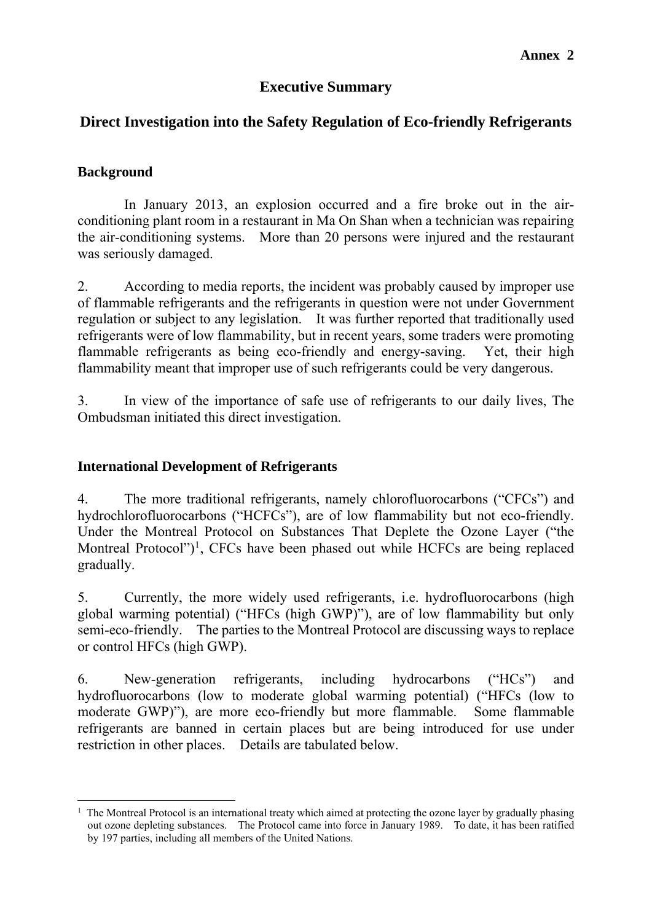#### **Executive Summary**

#### **Direct Investigation into the Safety Regulation of Eco-friendly Refrigerants**

#### **Background**

1

 In January 2013, an explosion occurred and a fire broke out in the airconditioning plant room in a restaurant in Ma On Shan when a technician was repairing the air-conditioning systems. More than 20 persons were injured and the restaurant was seriously damaged.

2. According to media reports, the incident was probably caused by improper use of flammable refrigerants and the refrigerants in question were not under Government regulation or subject to any legislation. It was further reported that traditionally used refrigerants were of low flammability, but in recent years, some traders were promoting flammable refrigerants as being eco-friendly and energy-saving. Yet, their high flammability meant that improper use of such refrigerants could be very dangerous.

3. In view of the importance of safe use of refrigerants to our daily lives, The Ombudsman initiated this direct investigation.

#### **International Development of Refrigerants**

4. The more traditional refrigerants, namely chlorofluorocarbons ("CFCs") and hydrochlorofluorocarbons ("HCFCs"), are of low flammability but not eco-friendly. Under the Montreal Protocol on Substances That Deplete the Ozone Layer ("the Montreal Protocol")<sup>1</sup>, CFCs have been phased out while HCFCs are being replaced gradually.

5. Currently, the more widely used refrigerants, i.e. hydrofluorocarbons (high global warming potential) ("HFCs (high GWP)"), are of low flammability but only semi-eco-friendly. The parties to the Montreal Protocol are discussing ways to replace or control HFCs (high GWP).

6. New-generation refrigerants, including hydrocarbons ("HCs") and hydrofluorocarbons (low to moderate global warming potential) ("HFCs (low to moderate GWP)"), are more eco-friendly but more flammable. Some flammable refrigerants are banned in certain places but are being introduced for use under restriction in other places. Details are tabulated below.

<sup>1</sup> The Montreal Protocol is an international treaty which aimed at protecting the ozone layer by gradually phasing out ozone depleting substances. The Protocol came into force in January 1989. To date, it has been ratified by 197 parties, including all members of the United Nations.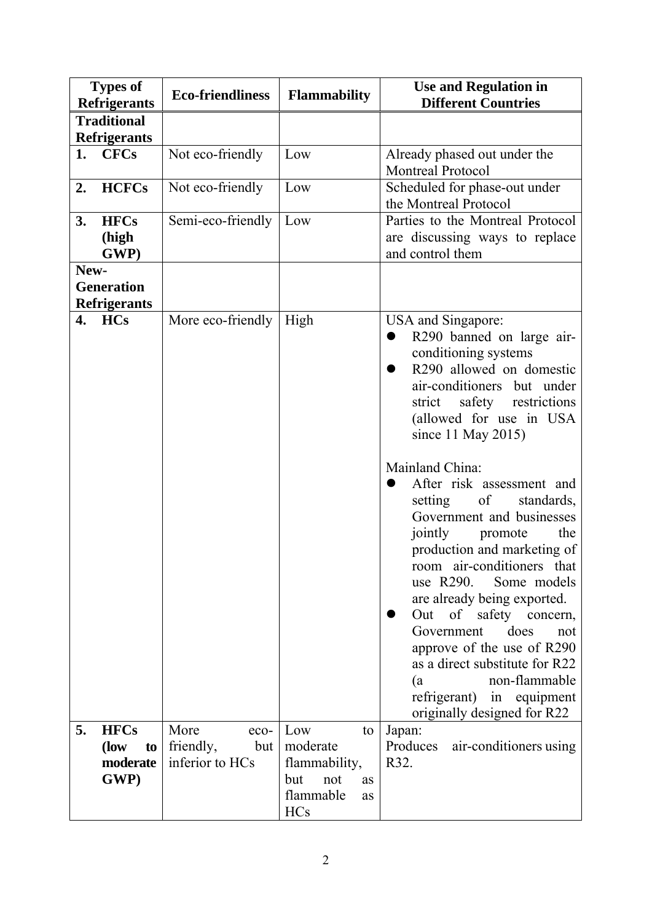| <b>Types of</b><br><b>Refrigerants</b>           |                                                | <b>Eco-friendliness</b>                             | <b>Flammability</b>                                                                                | <b>Use and Regulation in</b><br><b>Different Countries</b>                                                                                                                                                                                                                                                                                                                                                                                                                                                                                                                                                                                                                                        |
|--------------------------------------------------|------------------------------------------------|-----------------------------------------------------|----------------------------------------------------------------------------------------------------|---------------------------------------------------------------------------------------------------------------------------------------------------------------------------------------------------------------------------------------------------------------------------------------------------------------------------------------------------------------------------------------------------------------------------------------------------------------------------------------------------------------------------------------------------------------------------------------------------------------------------------------------------------------------------------------------------|
| <b>Traditional</b>                               |                                                |                                                     |                                                                                                    |                                                                                                                                                                                                                                                                                                                                                                                                                                                                                                                                                                                                                                                                                                   |
|                                                  | <b>Refrigerants</b>                            |                                                     |                                                                                                    |                                                                                                                                                                                                                                                                                                                                                                                                                                                                                                                                                                                                                                                                                                   |
| 1.                                               | <b>CFCs</b>                                    | Not eco-friendly                                    | Low                                                                                                | Already phased out under the<br><b>Montreal Protocol</b>                                                                                                                                                                                                                                                                                                                                                                                                                                                                                                                                                                                                                                          |
| 2.                                               | <b>HCFCs</b>                                   | Not eco-friendly                                    | Low                                                                                                | Scheduled for phase-out under<br>the Montreal Protocol                                                                                                                                                                                                                                                                                                                                                                                                                                                                                                                                                                                                                                            |
| 3.                                               | <b>HFCs</b><br>(high<br>GWP)                   | Semi-eco-friendly                                   | Low                                                                                                | Parties to the Montreal Protocol<br>are discussing ways to replace<br>and control them                                                                                                                                                                                                                                                                                                                                                                                                                                                                                                                                                                                                            |
| New-<br><b>Generation</b><br><b>Refrigerants</b> |                                                |                                                     |                                                                                                    |                                                                                                                                                                                                                                                                                                                                                                                                                                                                                                                                                                                                                                                                                                   |
| 4.                                               | <b>HCs</b>                                     | More eco-friendly                                   | High                                                                                               | USA and Singapore:<br>R290 banned on large air-<br>conditioning systems<br>R290 allowed on domestic<br>air-conditioners but under<br>safety restrictions<br>strict<br>(allowed for use in USA<br>since 11 May 2015)<br>Mainland China:<br>After risk assessment and<br>setting<br>of<br>standards,<br>Government and businesses<br>jointly<br>the<br>promote<br>production and marketing of<br>room air-conditioners that<br>Some models<br>use $R290$ .<br>are already being exported.<br>Out of safety concern,<br>does<br>Government<br>not<br>approve of the use of R290<br>as a direct substitute for R22<br>non-flammable<br>(a<br>refrigerant) in equipment<br>originally designed for R22 |
| 5.                                               | <b>HFCs</b><br>(low)<br>to<br>moderate<br>GWP) | More<br>eco-<br>friendly,<br>but<br>inferior to HCs | Low<br>to<br>moderate<br>flammability,<br>not<br>but<br><b>as</b><br>flammable<br>as<br><b>HCs</b> | Japan:<br>Produces<br>air-conditioners using<br>R32.                                                                                                                                                                                                                                                                                                                                                                                                                                                                                                                                                                                                                                              |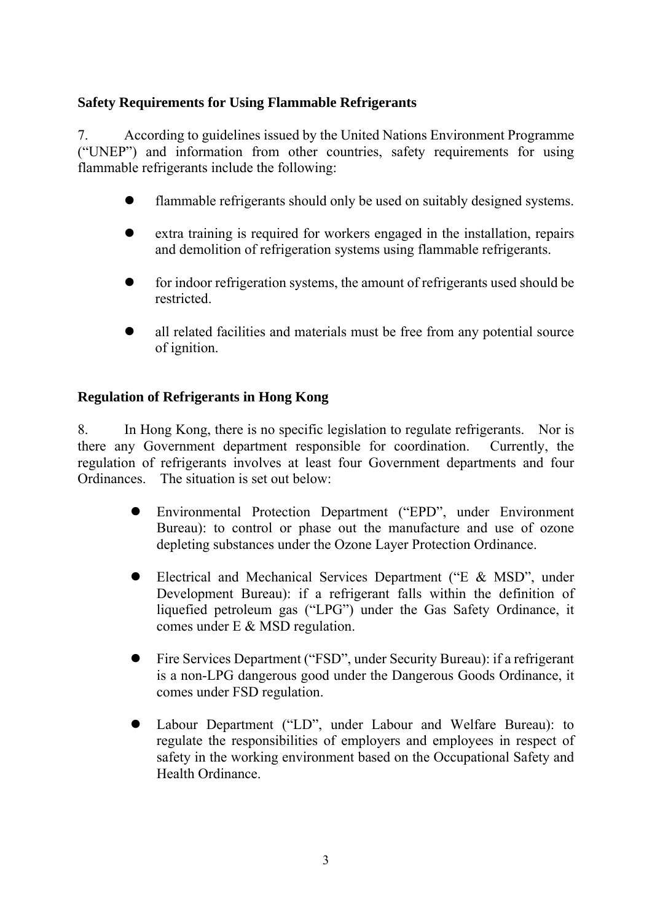#### **Safety Requirements for Using Flammable Refrigerants**

7. According to guidelines issued by the United Nations Environment Programme ("UNEP") and information from other countries, safety requirements for using flammable refrigerants include the following:

- flammable refrigerants should only be used on suitably designed systems.
- extra training is required for workers engaged in the installation, repairs and demolition of refrigeration systems using flammable refrigerants.
- for indoor refrigeration systems, the amount of refrigerants used should be restricted.
- all related facilities and materials must be free from any potential source of ignition.

#### **Regulation of Refrigerants in Hong Kong**

8. In Hong Kong, there is no specific legislation to regulate refrigerants. Nor is there any Government department responsible for coordination. Currently, the regulation of refrigerants involves at least four Government departments and four Ordinances. The situation is set out below:

- Environmental Protection Department ("EPD", under Environment Bureau): to control or phase out the manufacture and use of ozone depleting substances under the Ozone Layer Protection Ordinance.
- Electrical and Mechanical Services Department ("E & MSD", under Development Bureau): if a refrigerant falls within the definition of liquefied petroleum gas ("LPG") under the Gas Safety Ordinance, it comes under E & MSD regulation.
- Fire Services Department ("FSD", under Security Bureau): if a refrigerant is a non-LPG dangerous good under the Dangerous Goods Ordinance, it comes under FSD regulation.
- Labour Department ("LD", under Labour and Welfare Bureau): to regulate the responsibilities of employers and employees in respect of safety in the working environment based on the Occupational Safety and Health Ordinance.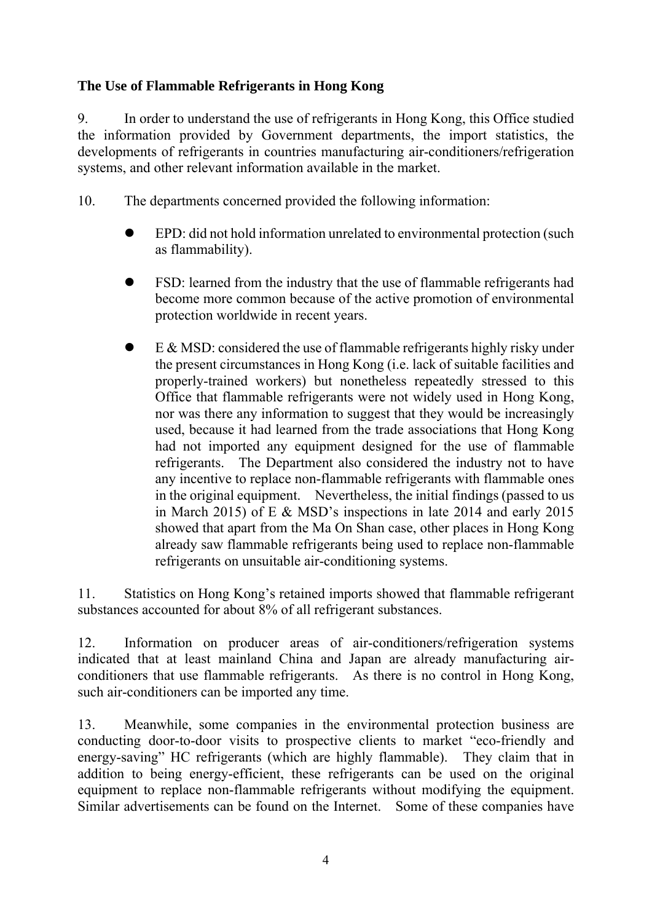#### **The Use of Flammable Refrigerants in Hong Kong**

9. In order to understand the use of refrigerants in Hong Kong, this Office studied the information provided by Government departments, the import statistics, the developments of refrigerants in countries manufacturing air-conditioners/refrigeration systems, and other relevant information available in the market.

- 10. The departments concerned provided the following information:
	- EPD: did not hold information unrelated to environmental protection (such as flammability).
	- FSD: learned from the industry that the use of flammable refrigerants had become more common because of the active promotion of environmental protection worldwide in recent years.
	- E & MSD: considered the use of flammable refrigerants highly risky under the present circumstances in Hong Kong (i.e. lack of suitable facilities and properly-trained workers) but nonetheless repeatedly stressed to this Office that flammable refrigerants were not widely used in Hong Kong, nor was there any information to suggest that they would be increasingly used, because it had learned from the trade associations that Hong Kong had not imported any equipment designed for the use of flammable refrigerants. The Department also considered the industry not to have any incentive to replace non-flammable refrigerants with flammable ones in the original equipment. Nevertheless, the initial findings (passed to us in March 2015) of E & MSD's inspections in late 2014 and early 2015 showed that apart from the Ma On Shan case, other places in Hong Kong already saw flammable refrigerants being used to replace non-flammable refrigerants on unsuitable air-conditioning systems.

11. Statistics on Hong Kong's retained imports showed that flammable refrigerant substances accounted for about 8% of all refrigerant substances.

12. Information on producer areas of air-conditioners/refrigeration systems indicated that at least mainland China and Japan are already manufacturing airconditioners that use flammable refrigerants. As there is no control in Hong Kong, such air-conditioners can be imported any time.

13. Meanwhile, some companies in the environmental protection business are conducting door-to-door visits to prospective clients to market "eco-friendly and energy-saving" HC refrigerants (which are highly flammable). They claim that in addition to being energy-efficient, these refrigerants can be used on the original equipment to replace non-flammable refrigerants without modifying the equipment. Similar advertisements can be found on the Internet. Some of these companies have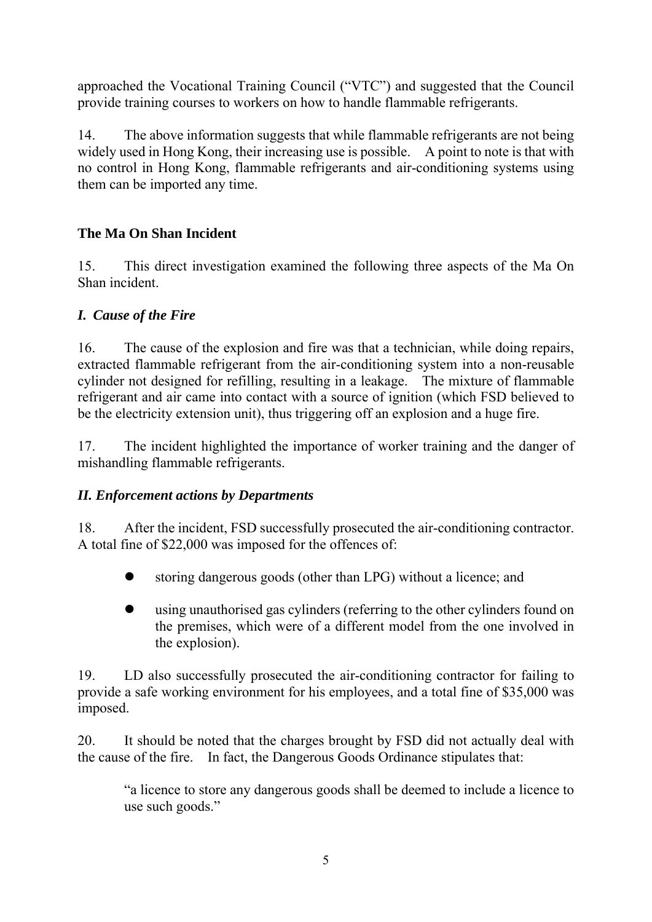approached the Vocational Training Council ("VTC") and suggested that the Council provide training courses to workers on how to handle flammable refrigerants.

14. The above information suggests that while flammable refrigerants are not being widely used in Hong Kong, their increasing use is possible. A point to note is that with no control in Hong Kong, flammable refrigerants and air-conditioning systems using them can be imported any time.

# **The Ma On Shan Incident**

15. This direct investigation examined the following three aspects of the Ma On Shan incident.

# *I. Cause of the Fire*

16. The cause of the explosion and fire was that a technician, while doing repairs, extracted flammable refrigerant from the air-conditioning system into a non-reusable cylinder not designed for refilling, resulting in a leakage. The mixture of flammable refrigerant and air came into contact with a source of ignition (which FSD believed to be the electricity extension unit), thus triggering off an explosion and a huge fire.

17. The incident highlighted the importance of worker training and the danger of mishandling flammable refrigerants.

#### *II. Enforcement actions by Departments*

18. After the incident, FSD successfully prosecuted the air-conditioning contractor. A total fine of \$22,000 was imposed for the offences of:

- storing dangerous goods (other than LPG) without a licence; and
- using unauthorised gas cylinders (referring to the other cylinders found on the premises, which were of a different model from the one involved in the explosion).

19. LD also successfully prosecuted the air-conditioning contractor for failing to provide a safe working environment for his employees, and a total fine of \$35,000 was imposed.

20. It should be noted that the charges brought by FSD did not actually deal with the cause of the fire. In fact, the Dangerous Goods Ordinance stipulates that:

"a licence to store any dangerous goods shall be deemed to include a licence to use such goods."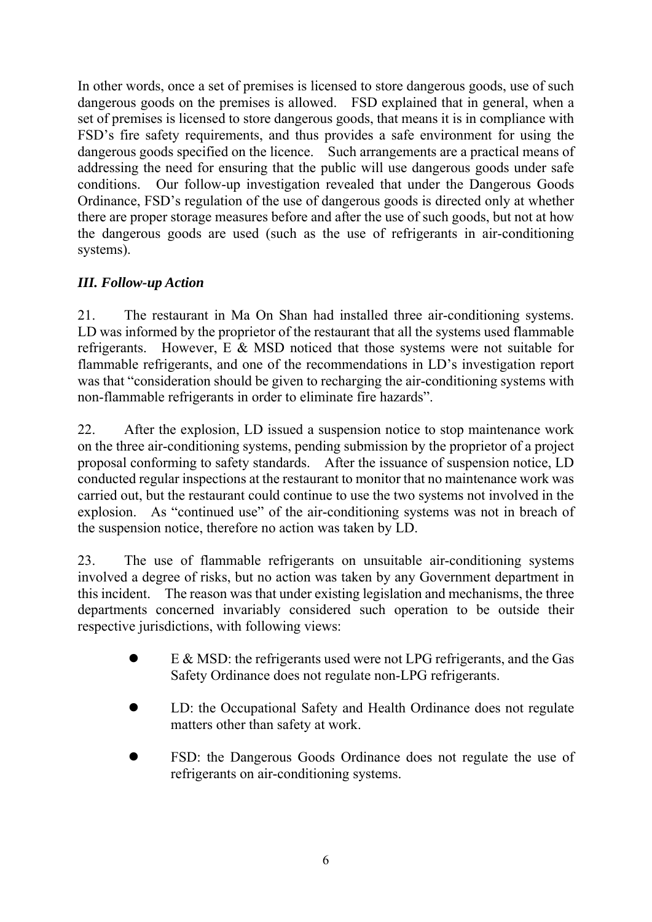In other words, once a set of premises is licensed to store dangerous goods, use of such dangerous goods on the premises is allowed. FSD explained that in general, when a set of premises is licensed to store dangerous goods, that means it is in compliance with FSD's fire safety requirements, and thus provides a safe environment for using the dangerous goods specified on the licence. Such arrangements are a practical means of addressing the need for ensuring that the public will use dangerous goods under safe conditions. Our follow-up investigation revealed that under the Dangerous Goods Ordinance, FSD's regulation of the use of dangerous goods is directed only at whether there are proper storage measures before and after the use of such goods, but not at how the dangerous goods are used (such as the use of refrigerants in air-conditioning systems).

# *III. Follow-up Action*

21. The restaurant in Ma On Shan had installed three air-conditioning systems. LD was informed by the proprietor of the restaurant that all the systems used flammable refrigerants. However, E & MSD noticed that those systems were not suitable for flammable refrigerants, and one of the recommendations in LD's investigation report was that "consideration should be given to recharging the air-conditioning systems with non-flammable refrigerants in order to eliminate fire hazards".

22. After the explosion, LD issued a suspension notice to stop maintenance work on the three air-conditioning systems, pending submission by the proprietor of a project proposal conforming to safety standards. After the issuance of suspension notice, LD conducted regular inspections at the restaurant to monitor that no maintenance work was carried out, but the restaurant could continue to use the two systems not involved in the explosion. As "continued use" of the air-conditioning systems was not in breach of the suspension notice, therefore no action was taken by LD.

23. The use of flammable refrigerants on unsuitable air-conditioning systems involved a degree of risks, but no action was taken by any Government department in this incident. The reason was that under existing legislation and mechanisms, the three departments concerned invariably considered such operation to be outside their respective jurisdictions, with following views:

- E & MSD: the refrigerants used were not LPG refrigerants, and the Gas Safety Ordinance does not regulate non-LPG refrigerants.
- LD: the Occupational Safety and Health Ordinance does not regulate matters other than safety at work.
- FSD: the Dangerous Goods Ordinance does not regulate the use of refrigerants on air-conditioning systems.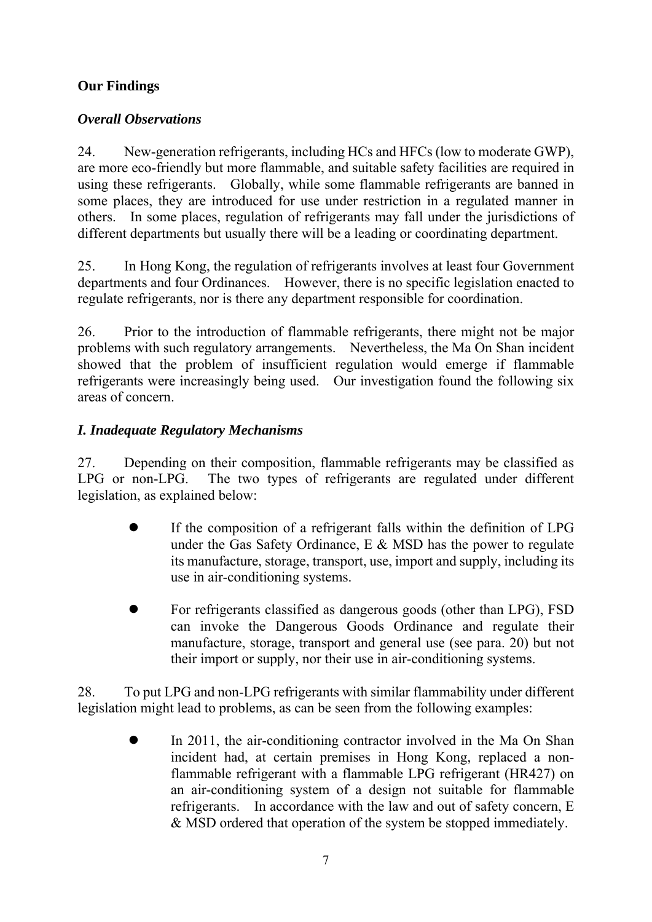# **Our Findings**

## *Overall Observations*

24. New-generation refrigerants, including HCs and HFCs (low to moderate GWP), are more eco-friendly but more flammable, and suitable safety facilities are required in using these refrigerants. Globally, while some flammable refrigerants are banned in some places, they are introduced for use under restriction in a regulated manner in others. In some places, regulation of refrigerants may fall under the jurisdictions of different departments but usually there will be a leading or coordinating department.

25. In Hong Kong, the regulation of refrigerants involves at least four Government departments and four Ordinances. However, there is no specific legislation enacted to regulate refrigerants, nor is there any department responsible for coordination.

26. Prior to the introduction of flammable refrigerants, there might not be major problems with such regulatory arrangements. Nevertheless, the Ma On Shan incident showed that the problem of insufficient regulation would emerge if flammable refrigerants were increasingly being used. Our investigation found the following six areas of concern.

# *I. Inadequate Regulatory Mechanisms*

27. Depending on their composition, flammable refrigerants may be classified as LPG or non-LPG. The two types of refrigerants are regulated under different legislation, as explained below:

- If the composition of a refrigerant falls within the definition of LPG under the Gas Safety Ordinance, E & MSD has the power to regulate its manufacture, storage, transport, use, import and supply, including its use in air-conditioning systems.
- For refrigerants classified as dangerous goods (other than LPG), FSD can invoke the Dangerous Goods Ordinance and regulate their manufacture, storage, transport and general use (see para. 20) but not their import or supply, nor their use in air-conditioning systems.

28. To put LPG and non-LPG refrigerants with similar flammability under different legislation might lead to problems, as can be seen from the following examples:

 In 2011, the air-conditioning contractor involved in the Ma On Shan incident had, at certain premises in Hong Kong, replaced a nonflammable refrigerant with a flammable LPG refrigerant (HR427) on an air-conditioning system of a design not suitable for flammable refrigerants. In accordance with the law and out of safety concern, E & MSD ordered that operation of the system be stopped immediately.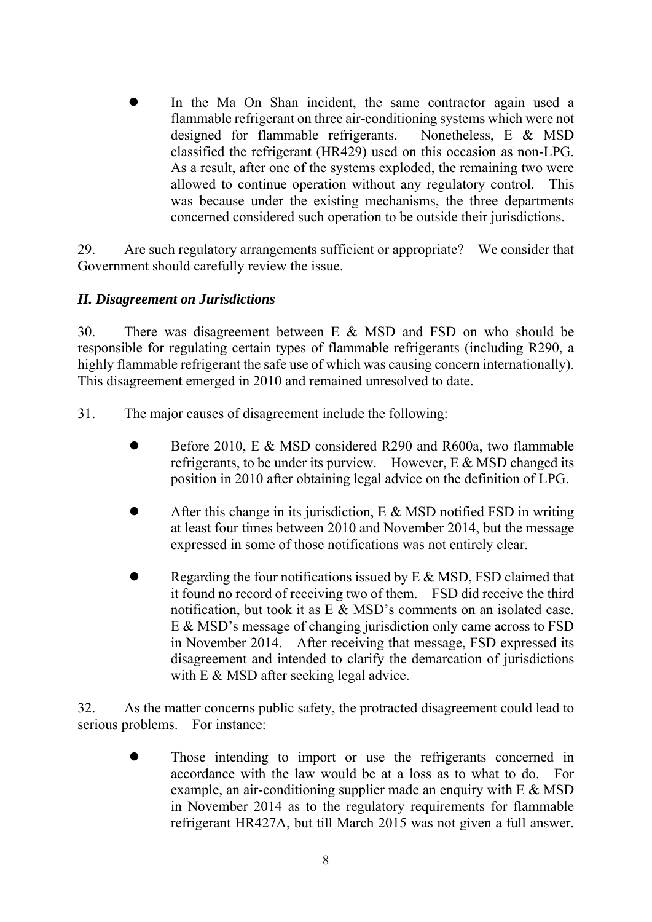In the Ma On Shan incident, the same contractor again used a flammable refrigerant on three air-conditioning systems which were not designed for flammable refrigerants. Nonetheless, E & MSD classified the refrigerant (HR429) used on this occasion as non-LPG. As a result, after one of the systems exploded, the remaining two were allowed to continue operation without any regulatory control. This was because under the existing mechanisms, the three departments concerned considered such operation to be outside their jurisdictions.

29. Are such regulatory arrangements sufficient or appropriate? We consider that Government should carefully review the issue.

#### *II. Disagreement on Jurisdictions*

30. There was disagreement between E & MSD and FSD on who should be responsible for regulating certain types of flammable refrigerants (including R290, a highly flammable refrigerant the safe use of which was causing concern internationally). This disagreement emerged in 2010 and remained unresolved to date.

- 31. The major causes of disagreement include the following:
	- Before 2010, E & MSD considered R290 and R600a, two flammable refrigerants, to be under its purview. However, E & MSD changed its position in 2010 after obtaining legal advice on the definition of LPG.
	- After this change in its jurisdiction,  $E \& MSD$  notified FSD in writing at least four times between 2010 and November 2014, but the message expressed in some of those notifications was not entirely clear.
	- Regarding the four notifications issued by  $E \& MSD$ , FSD claimed that it found no record of receiving two of them. FSD did receive the third notification, but took it as E & MSD's comments on an isolated case. E & MSD's message of changing jurisdiction only came across to FSD in November 2014. After receiving that message, FSD expressed its disagreement and intended to clarify the demarcation of jurisdictions with E & MSD after seeking legal advice.

32. As the matter concerns public safety, the protracted disagreement could lead to serious problems. For instance:

 Those intending to import or use the refrigerants concerned in accordance with the law would be at a loss as to what to do. For example, an air-conditioning supplier made an enquiry with  $E \& MSD$ in November 2014 as to the regulatory requirements for flammable refrigerant HR427A, but till March 2015 was not given a full answer.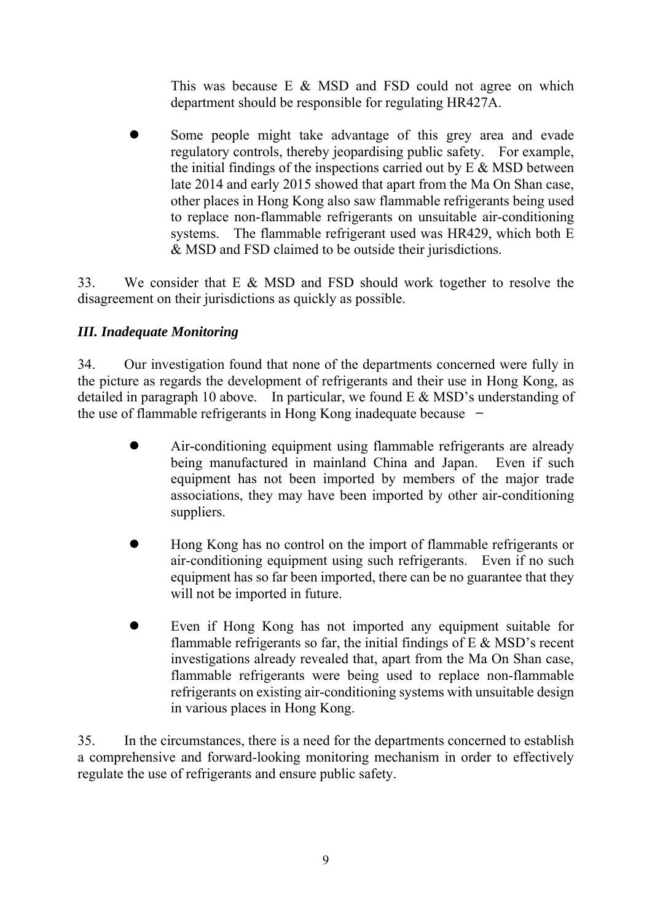This was because E & MSD and FSD could not agree on which department should be responsible for regulating HR427A.

 Some people might take advantage of this grey area and evade regulatory controls, thereby jeopardising public safety. For example, the initial findings of the inspections carried out by  $E \& MSD$  between late 2014 and early 2015 showed that apart from the Ma On Shan case, other places in Hong Kong also saw flammable refrigerants being used to replace non-flammable refrigerants on unsuitable air-conditioning systems. The flammable refrigerant used was HR429, which both E & MSD and FSD claimed to be outside their jurisdictions.

33. We consider that E & MSD and FSD should work together to resolve the disagreement on their jurisdictions as quickly as possible.

# *III. Inadequate Monitoring*

34. Our investigation found that none of the departments concerned were fully in the picture as regards the development of refrigerants and their use in Hong Kong, as detailed in paragraph 10 above. In particular, we found E & MSD's understanding of the use of flammable refrigerants in Hong Kong inadequate because  $-$ 

- Air-conditioning equipment using flammable refrigerants are already being manufactured in mainland China and Japan. Even if such equipment has not been imported by members of the major trade associations, they may have been imported by other air-conditioning suppliers.
- Hong Kong has no control on the import of flammable refrigerants or air-conditioning equipment using such refrigerants. Even if no such equipment has so far been imported, there can be no guarantee that they will not be imported in future.
- Even if Hong Kong has not imported any equipment suitable for flammable refrigerants so far, the initial findings of  $E \& MSD$ 's recent investigations already revealed that, apart from the Ma On Shan case, flammable refrigerants were being used to replace non-flammable refrigerants on existing air-conditioning systems with unsuitable design in various places in Hong Kong.

35. In the circumstances, there is a need for the departments concerned to establish a comprehensive and forward-looking monitoring mechanism in order to effectively regulate the use of refrigerants and ensure public safety.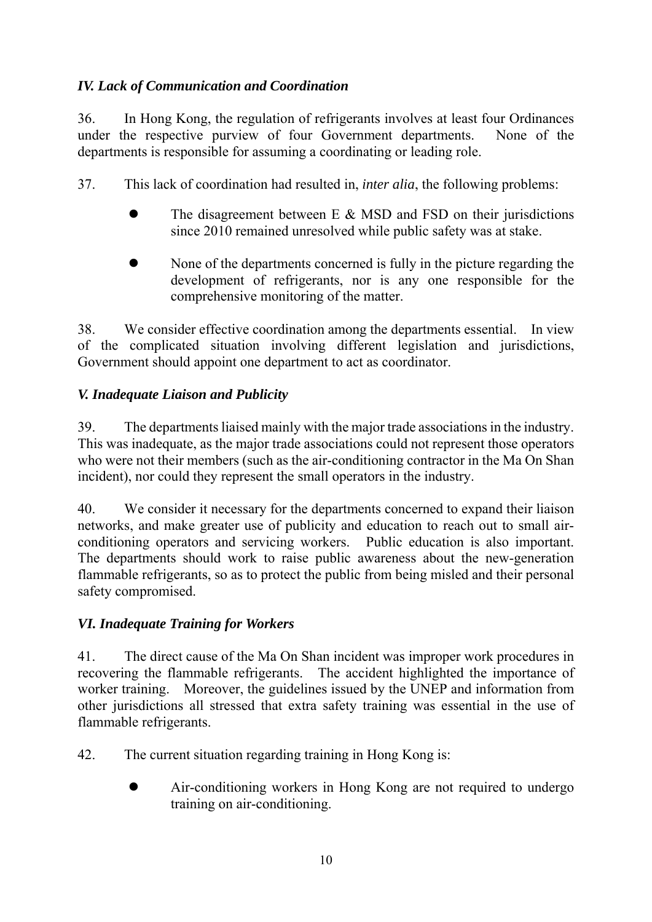# *IV. Lack of Communication and Coordination*

36. In Hong Kong, the regulation of refrigerants involves at least four Ordinances under the respective purview of four Government departments. None of the departments is responsible for assuming a coordinating or leading role.

37. This lack of coordination had resulted in, *inter alia*, the following problems:

- The disagreement between  $E \& MSD$  and  $FSD$  on their jurisdictions since 2010 remained unresolved while public safety was at stake.
- None of the departments concerned is fully in the picture regarding the development of refrigerants, nor is any one responsible for the comprehensive monitoring of the matter.

38. We consider effective coordination among the departments essential. In view of the complicated situation involving different legislation and jurisdictions, Government should appoint one department to act as coordinator.

# *V. Inadequate Liaison and Publicity*

39. The departments liaised mainly with the major trade associations in the industry. This was inadequate, as the major trade associations could not represent those operators who were not their members (such as the air-conditioning contractor in the Ma On Shan incident), nor could they represent the small operators in the industry.

40. We consider it necessary for the departments concerned to expand their liaison networks, and make greater use of publicity and education to reach out to small airconditioning operators and servicing workers. Public education is also important. The departments should work to raise public awareness about the new-generation flammable refrigerants, so as to protect the public from being misled and their personal safety compromised.

# *VI. Inadequate Training for Workers*

41. The direct cause of the Ma On Shan incident was improper work procedures in recovering the flammable refrigerants. The accident highlighted the importance of worker training. Moreover, the guidelines issued by the UNEP and information from other jurisdictions all stressed that extra safety training was essential in the use of flammable refrigerants.

42. The current situation regarding training in Hong Kong is:

 Air-conditioning workers in Hong Kong are not required to undergo training on air-conditioning.